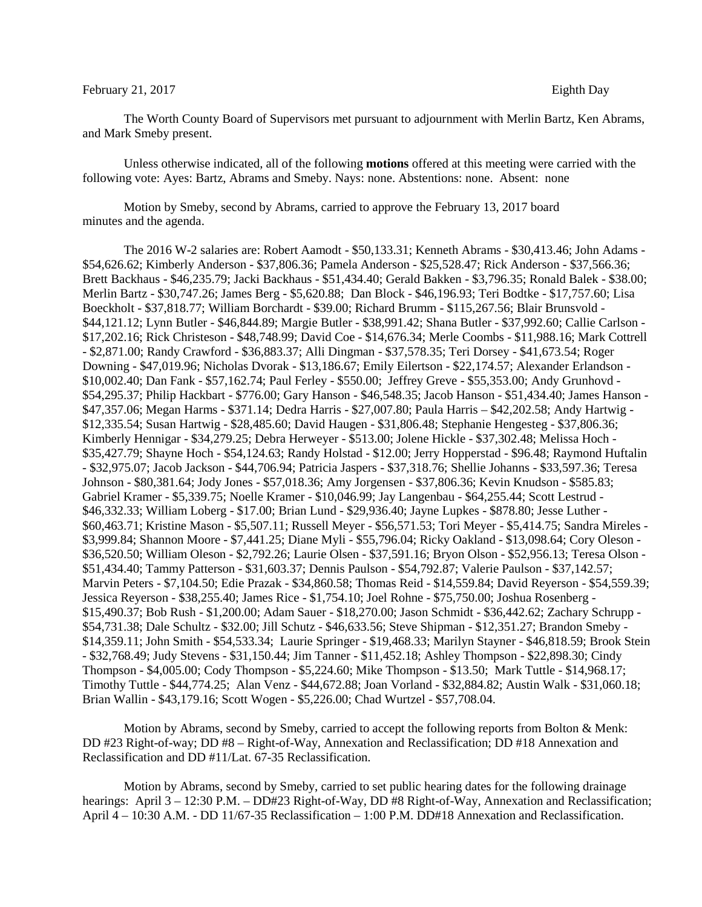## February 21, 2017 Eighth Day

The Worth County Board of Supervisors met pursuant to adjournment with Merlin Bartz, Ken Abrams, and Mark Smeby present.

Unless otherwise indicated, all of the following **motions** offered at this meeting were carried with the following vote: Ayes: Bartz, Abrams and Smeby. Nays: none. Abstentions: none. Absent: none

Motion by Smeby, second by Abrams, carried to approve the February 13, 2017 board minutes and the agenda.

The 2016 W-2 salaries are: Robert Aamodt - \$50,133.31; Kenneth Abrams - \$30,413.46; John Adams - \$54,626.62; Kimberly Anderson - \$37,806.36; Pamela Anderson - \$25,528.47; Rick Anderson - \$37,566.36; Brett Backhaus - \$46,235.79; Jacki Backhaus - \$51,434.40; Gerald Bakken - \$3,796.35; Ronald Balek - \$38.00; Merlin Bartz - \$30,747.26; James Berg - \$5,620.88; Dan Block - \$46,196.93; Teri Bodtke - \$17,757.60; Lisa Boeckholt - \$37,818.77; William Borchardt - \$39.00; Richard Brumm - \$115,267.56; Blair Brunsvold - \$44,121.12; Lynn Butler - \$46,844.89; Margie Butler - \$38,991.42; Shana Butler - \$37,992.60; Callie Carlson - \$17,202.16; Rick Christeson - \$48,748.99; David Coe - \$14,676.34; Merle Coombs - \$11,988.16; Mark Cottrell - \$2,871.00; Randy Crawford - \$36,883.37; Alli Dingman - \$37,578.35; Teri Dorsey - \$41,673.54; Roger Downing - \$47,019.96; Nicholas Dvorak - \$13,186.67; Emily Eilertson - \$22,174.57; Alexander Erlandson - \$10,002.40; Dan Fank - \$57,162.74; Paul Ferley - \$550.00; Jeffrey Greve - \$55,353.00; Andy Grunhovd - \$54,295.37; Philip Hackbart - \$776.00; Gary Hanson - \$46,548.35; Jacob Hanson - \$51,434.40; James Hanson - \$47,357.06; Megan Harms - \$371.14; Dedra Harris - \$27,007.80; Paula Harris – \$42,202.58; Andy Hartwig - \$12,335.54; Susan Hartwig - \$28,485.60; David Haugen - \$31,806.48; Stephanie Hengesteg - \$37,806.36; Kimberly Hennigar - \$34,279.25; Debra Herweyer - \$513.00; Jolene Hickle - \$37,302.48; Melissa Hoch - \$35,427.79; Shayne Hoch - \$54,124.63; Randy Holstad - \$12.00; Jerry Hopperstad - \$96.48; Raymond Huftalin - \$32,975.07; Jacob Jackson - \$44,706.94; Patricia Jaspers - \$37,318.76; Shellie Johanns - \$33,597.36; Teresa Johnson - \$80,381.64; Jody Jones - \$57,018.36; Amy Jorgensen - \$37,806.36; Kevin Knudson - \$585.83; Gabriel Kramer - \$5,339.75; Noelle Kramer - \$10,046.99; Jay Langenbau - \$64,255.44; Scott Lestrud - \$46,332.33; William Loberg - \$17.00; Brian Lund - \$29,936.40; Jayne Lupkes - \$878.80; Jesse Luther - \$60,463.71; Kristine Mason - \$5,507.11; Russell Meyer - \$56,571.53; Tori Meyer - \$5,414.75; Sandra Mireles - \$3,999.84; Shannon Moore - \$7,441.25; Diane Myli - \$55,796.04; Ricky Oakland - \$13,098.64; Cory Oleson - \$36,520.50; William Oleson - \$2,792.26; Laurie Olsen - \$37,591.16; Bryon Olson - \$52,956.13; Teresa Olson - \$51,434.40; Tammy Patterson - \$31,603.37; Dennis Paulson - \$54,792.87; Valerie Paulson - \$37,142.57; Marvin Peters - \$7,104.50; Edie Prazak - \$34,860.58; Thomas Reid - \$14,559.84; David Reyerson - \$54,559.39; Jessica Reyerson - \$38,255.40; James Rice - \$1,754.10; Joel Rohne - \$75,750.00; Joshua Rosenberg - \$15,490.37; Bob Rush - \$1,200.00; Adam Sauer - \$18,270.00; Jason Schmidt - \$36,442.62; Zachary Schrupp - \$54,731.38; Dale Schultz - \$32.00; Jill Schutz - \$46,633.56; Steve Shipman - \$12,351.27; Brandon Smeby - \$14,359.11; John Smith - \$54,533.34; Laurie Springer - \$19,468.33; Marilyn Stayner - \$46,818.59; Brook Stein - \$32,768.49; Judy Stevens - \$31,150.44; Jim Tanner - \$11,452.18; Ashley Thompson - \$22,898.30; Cindy Thompson - \$4,005.00; Cody Thompson - \$5,224.60; Mike Thompson - \$13.50; Mark Tuttle - \$14,968.17; Timothy Tuttle - \$44,774.25; Alan Venz - \$44,672.88; Joan Vorland - \$32,884.82; Austin Walk - \$31,060.18; Brian Wallin - \$43,179.16; Scott Wogen - \$5,226.00; Chad Wurtzel - \$57,708.04.

Motion by Abrams, second by Smeby, carried to accept the following reports from Bolton & Menk: DD #23 Right-of-way; DD #8 – Right-of-Way, Annexation and Reclassification; DD #18 Annexation and Reclassification and DD #11/Lat. 67-35 Reclassification.

Motion by Abrams, second by Smeby, carried to set public hearing dates for the following drainage hearings: April 3 – 12:30 P.M. – DD#23 Right-of-Way, DD #8 Right-of-Way, Annexation and Reclassification; April 4 – 10:30 A.M. - DD 11/67-35 Reclassification – 1:00 P.M. DD#18 Annexation and Reclassification.